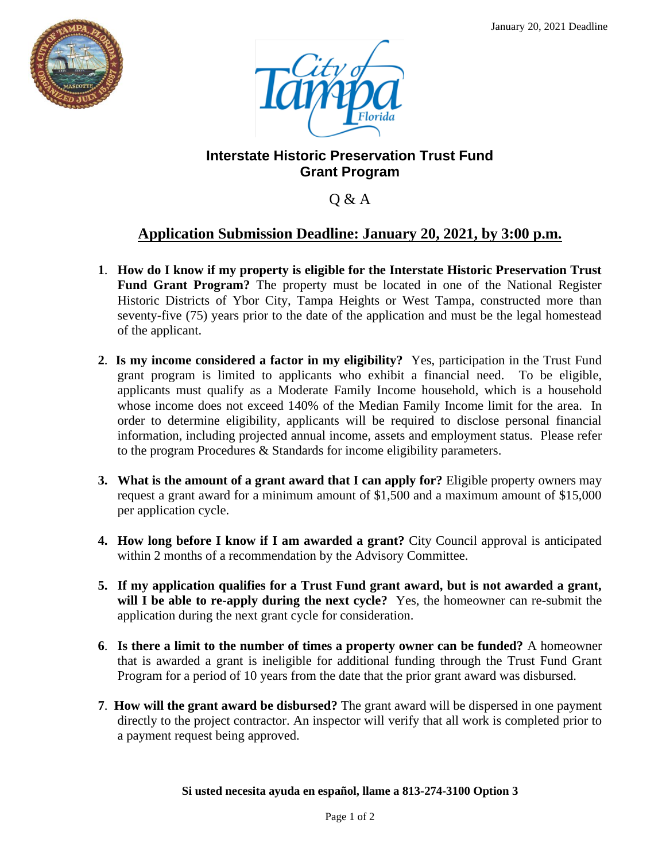



### **Interstate Historic Preservation Trust Fund Grant Program**

Q & A

# **Application Submission Deadline: January 20, 2021, by 3:00 p.m.**

- **1**. **How do I know if my property is eligible for the Interstate Historic Preservation Trust Fund Grant Program?** The property must be located in one of the National Register Historic Districts of Ybor City, Tampa Heights or West Tampa, constructed more than seventy-five (75) years prior to the date of the application and must be the legal homestead of the applicant.
- **2**. **Is my income considered a factor in my eligibility?** Yes, participation in the Trust Fund grant program is limited to applicants who exhibit a financial need. To be eligible, applicants must qualify as a Moderate Family Income household, which is a household whose income does not exceed 140% of the Median Family Income limit for the area. In order to determine eligibility, applicants will be required to disclose personal financial information, including projected annual income, assets and employment status. Please refer to the program Procedures & Standards for income eligibility parameters.
- **3. What is the amount of a grant award that I can apply for?** Eligible property owners may request a grant award for a minimum amount of \$1,500 and a maximum amount of \$15,000 per application cycle.
- **4. How long before I know if I am awarded a grant?** City Council approval is anticipated within 2 months of a recommendation by the Advisory Committee.
- **5. If my application qualifies for a Trust Fund grant award, but is not awarded a grant, will I be able to re-apply during the next cycle?** Yes, the homeowner can re-submit the application during the next grant cycle for consideration.
- **6**. **Is there a limit to the number of times a property owner can be funded?** A homeowner that is awarded a grant is ineligible for additional funding through the Trust Fund Grant Program for a period of 10 years from the date that the prior grant award was disbursed.
- **7**. **How will the grant award be disbursed?** The grant award will be dispersed in one payment directly to the project contractor. An inspector will verify that all work is completed prior to a payment request being approved.